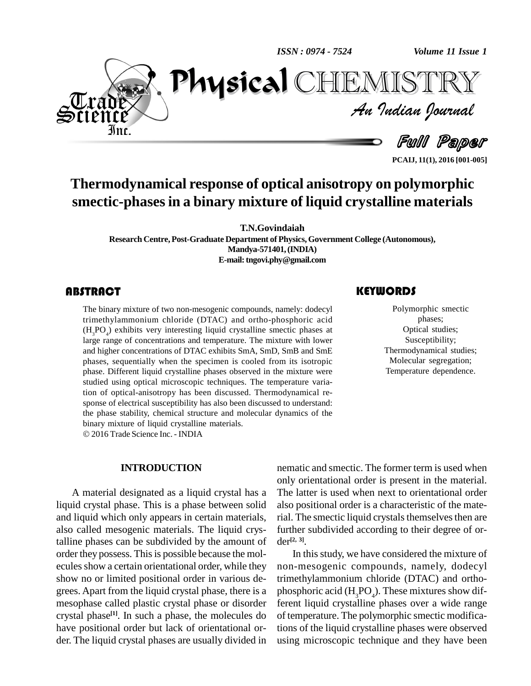*ISSN : 0974 - 7524*

*Volume 11 Issue 1*<br>IISTRY<br>Indian Iournal *Volume 11 Issue 1*



Full Paper

**PCAIJ, 11(1), 2016 [001-005]**

# **Thermodynamical response of optical anisotropy on polymorphic smectic-phasesin a binary mixture of liquid crystalline materials**

Physical

**T.N.Govindaiah**

**Research Centre,Post-Graduate Department of Physics,Government College (Autonomous), Mandya-571401,(INDIA) E-mail:[tngovi.phy@gmail.com](mailto:tngovi.phy@gmail.com)**

### **ABSTRACT**

The binary mixture of tv<br>trimethylammonium c<br> $(H_3PO_4)$  exhibits very i The binary mixture of two non-mesogenic compounds, namely: dodecyl trimethylammonium chloride (DTAC) and ortho-phosphoric acid  $(H_1PO_4)$  exhibits very interesting liquid crystalline smectic phases at large range of concentrations and temperature. The mixture with lower and higher concentrations of DTAC exhibits SmA, SmD, SmB and SmE phases, sequentially when the specimen is cooled from its isotropic phase. Different liquid crystalline phases observed in the mixture were studied using optical microscopic techniques. The temperature variation of optical-anisotropy has been discussed. Thermodynamical response of electrical susceptibility has also been discussed to understand: the phase stability, chemical structure and molecular dynamics of the binary mixture of liquid crystalline materials.

2016 Trade Science Inc. - INDIA

#### **INTRODUCTION**

A material designated as a liquid crystal has a liquid crystal phase. This is a phase between solid and liquid which only appears in certain materials, also called mesogenic materials. The liquid crystalline phases can be subdivided by the amount of order they possess. This is possible because the molecules show a certain orientational order, while they show no or limited positional order in various de grees. Apart from the liquid crystal phase, there is a mesophase called plastic crystal phase or disorder crystal phase **[1]**. In such a phase, the molecules do have positional order but lack of orientational or der. The liquid crystal phases are usually divided in

### **KEYWORDS**

TEMISTT

Polymorphic sm<br>phases;<br>Optical studie Polymorphic smectic phases; Optical studies; Susceptibility; Thermodynamical studies; Molecular segregation; Temperature dependence.

nematic and smectic. The former term is used when only orientational order is present in the material. The latter is used when next to orientational order also positional order is a characteristic of the material. The smectic liquid crystals themselves then are further subdivided according to their degree of or der **[2, 3]**.

In thisstudy, we have considered the mixture of non-mesogenic compounds, namely, dodecyl trimethylammonium chloride (DTAC) and ortho phosphoric acid  $(H_2PO_4)$ . These mixtures show different liquid crystalline phases over a wide range of temperature. The polymorphic smectic modifications of the liquid crystalline phases were observed using microscopic technique and they have been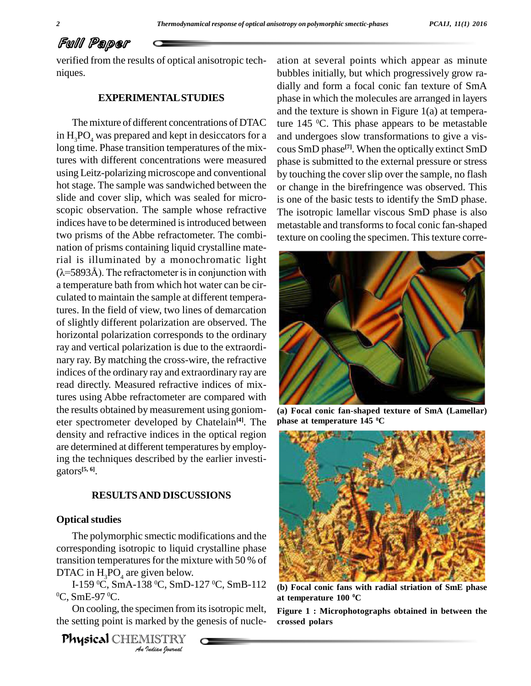## Full Paper

verified from the results of optical anisotropic tech niques.

#### **EXPERIMENTALSTUDIES**

The mixture of different concentrations of DTAC in  $H_3PO_4$  was prepared and kept in desiccators for a long time. Phase transition temperatures of the mixtures with different concentrations were measured using Leitz-polarizing microscope and conventional hot stage. The sample was sandwiched between the slide and cover slip, which was sealed for micro scopic observation. The sample whose refractive indices have to be determined is introduced between two prisms of the Abbe refractometer. The combi nation of prisms containing liquid crystalline material is illuminated by a monochromatic light nation of prisms containing liquid crystalline mate-<br>rial is illuminated by a monochromatic light<br>( $\lambda$ =5893Å). The refractometer is in conjunction with a temperature bath from which hot water can be cir culated to maintain the sample at different temperatures. In the field of view, two lines of demarcation of slightly different polarization are observed. The horizontal polarization corresponds to the ordinary ray and vertical polarization is due to the extraordi nary ray. By matching the cross-wire, the refractive indices of the ordinary ray and extraordinary ray are read directly. Measured refractive indices of mixtures using Abbe refractometer are compared with the results obtained by measurement using goniom eter spectrometer developed by Chatelain **[4]**. The density and refractive indices in the optical region are determined at different temperatures by employing the techniques described by the earlier investi gators **[5, 6]**.

### **RESULTSAND DISCUSSIONS**

#### **Optical studies**

DTAC in  $H_2PO_4$  are given below. The polymorphic smectic modifications and the corresponding isotropic to liquid crystalline phase transition temperatures for the mixture with 50 % of

*I*<br>*IS* <sup>o</sup>C, SmD-<br>ecimen from<br>arked by the<br>Indian Iournal DTAC in H<sub>3</sub>PO<sub>4</sub> are given below.<br>I-159 °C, SmA-138 °C, SmD-127 °C, SmB-112 (b) Foc  $\mathrm{^0C}, \mathrm{SmE}\text{-}97 \, \mathrm{^0C}.$ 

On cooling, the specimen from itsisotropic melt, the setting point is marked by the genesis of nucle-

Physical CHEMISTRY

ation at several points which appear as minute bubbles initially, but which progressively grow ra dially and form a focal conic fan texture of SmA phase in which the molecules are arranged in layers and the texture is shown in Figure 1(a) at temperature 145 <sup>0</sup>C. This phase appears to be metastable and undergoes slow transformations to give a vis cous SmD phase **[7]**. When the optically extinct SmD phase is submitted to the external pressure or stress by touching the cover slip over the sample, no flash or change in the birefringence was observed. This is one of the basic tests to identify the SmD phase. The isotropic lamellar viscous SmD phase is also metastable and transforms to focal conic fan-shaped texture on cooling the specimen. This texture corre-



**(a) Focal conic fan-shaped texture of SmA (Lamellar) phase at temperature 145 <sup>0</sup>C**



**(b) Focal conic fans with radial striation of SmE phase at temperature 100 <sup>0</sup>C**

**Figure 1 : Microphotographs obtained in between the crossed polars**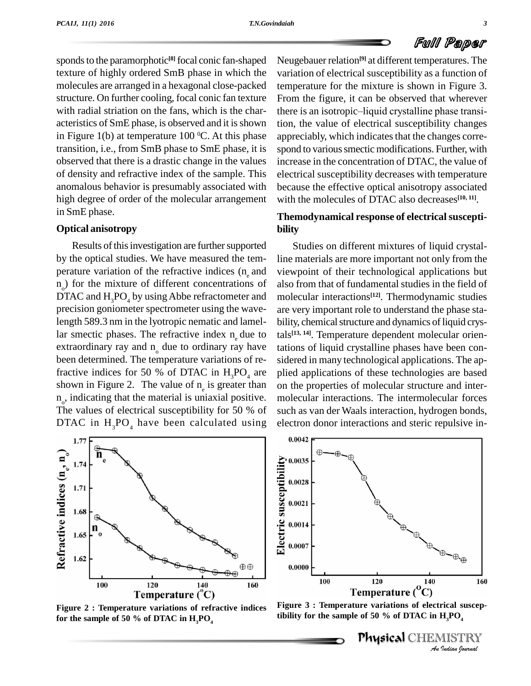

sponds to the paramorphotic<sup>[8]</sup> focal conic fan-shaped Neuge<sup>1</sup> texture of highly ordered SmB phase in which the molecules are arranged in a hexagonal close-packed structure. On further cooling, focal conic fan texture with radial striation on the fans, which is the char-<br>there is an isotropic-liquid crystalline phase transiacteristics of SmE phase, is observed and it is shown in Figure 1(b) at temperature 100  $\mathrm{^0C}$ . At this phase appre transition, i.e., from SmB phase to SmE phase, it is observed that there is a drastic change in the values of density and refractive index of the sample. This anomalous behavior is presumably associated with high degree of order of the molecular arrangement in SmE phase.

#### **Optical anisotropy**

Results of this investigation are further supported by the optical studies. We have measured the tem perature variation of the refractive indices  $(n_a)$  and  $n_{\alpha}$ ) for the mixture of different concentrations of DTAC and  $H_3PO_4$  by using Abbe refractometer and precision goniometer spectrometer using the wavelength 589.3 nm in the lyotropic nematic and lamellar smectic phases. The refractive index  $n_{\alpha}$  due to extraordinary ray and  $n_a$  due to ordinary ray have been determined. The temperature variations of refractive indices for 50 % of DTAC in  $H_3PO_4$  are shown in Figure 2. The value of  $n_e$  is greater than  $n_{o}$ , indicating that the material is uniaxial positive. m The values of electrical susceptibility for 50 % of DTAC in  $H_3PO_4$  have been calculated using

 $1.7$ Refractive indices  $(n_e, n_o)$ 1.74 1.71 1.68 1.65 1.62  $\oplus$ 100 120 140 160 Temperature (C)

temperature for the mixture is shown in Figure 3.<br>From the figure, it can be observed that wherever<br>there is an isotropic–liquid crystalline phase transi-From the figure, it can be observed that wherever tion, the value of electrical susceptibility changes appreciably, which indicates that the changes correspond to various smectic modifications. Further, with increase in the concentration of DTAC, the value of electrical susceptibility decreases with temperature because the effective optical anisotropy associated with the molecules of DTAC also decreases **[10, 11]**. **Themodynamical response of electricalsuscepti bility** Studies on different mixtures of liquid crystal-

Neugebauer relation **[9]** at different temperatures. The

variation of electrical susceptibility as a function of

line materials are more important not only from the viewpoint of their technological applications but also from that of fundamental studies in the field of molecular interactions **[12]**. Thermodynamic studies are very important role to understand the phase sta bility, chemical structure and dynamics of liquid crystals **[13, 14]**. Temperature dependent molecular orientations of liquid crystalline phases have been con sidered in many technological applications. The ap plied applications of these technologies are based on the properties of molecular structure and inter molecular interactions. The intermolecular forces such as van der Waals interaction, hydrogen bonds, electron donor interactions and steric repulsive in-



Figure 2 : Temperature variations of refractive indices Figure 3 : Temperature variations of electrical s<br>for the sample of 50 % of DTAC in H PO<br>tibility for the sample of 50 % of DTAC in H<sub>,</sub>PO<sub>4</sub> for the sample of 50 % of DTAC in  $H_3PO_4$ 

**Figure 3 : Temperature variations of electrical suscep-**

Physical CHEMISTRY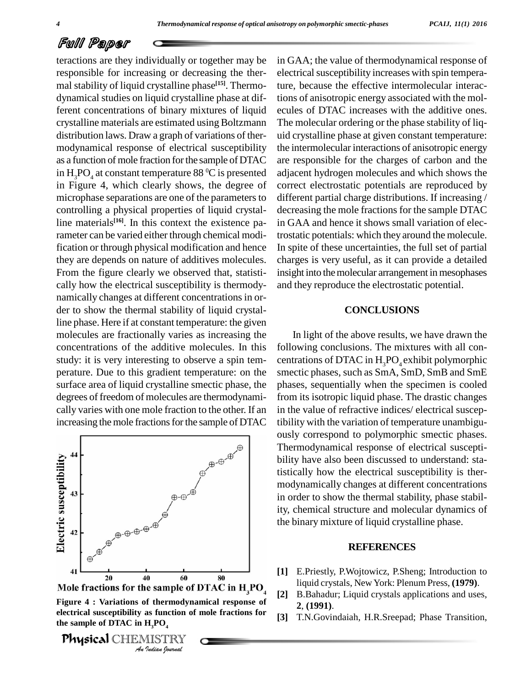## Full Paper

teractions are they individually or together may be responsible for increasing or decreasing the ther mal stability of liquid crystalline phase **[15]**. Thermo dynamical studies on liquid crystalline phase at different concentrations of binary mixtures of liquid crystalline materials are estimated using Boltzmann distribution laws. Draw a graph of variations of ther modynamical response of electrical susceptibility as a function of mole fraction for the sample of DTAC in  $H_3PO_4$  at constant temperature 88 °C is presented adjaces in Figure 4, which clearly shows, the degree of microphase separations are one of the parameters to controlling a physical properties of liquid crystalline materials<sup>[16]</sup>. In this context the existence pa- in rameter can be varied either through chemical modification or through physical modification and hence they are depends on nature of additives molecules. From the figure clearly we observed that, statisti cally how the electrical susceptibility is thermody namically changes at different concentrations in order to show the thermal stability of liquid crystalline phase. Here if at constant temperature: the given molecules are fractionally varies as increasing the concentrations of the additive molecules. In this study: it is very interesting to observe a spin tem perature. Due to this gradient temperature: on the surface area of liquid crystalline smectic phase, the degrees of freedom of molecules are thermodynami cally varies with one mole fraction to the other. If an increasing the mole fractions for the sample of DTAC



*Indian Indian Indian Indian Indian Indian Indian Indian Indian Indian Indian Indian Indian Indian Indian Indian bound Indian boundal An Indian boundal Indian boundal In the Sample of* **electrical susceptibility as function of mole fractions for** the sample of DTAC in  $H_1PO_4$ 

resumple of 2 from 11<sub>3</sub>, 0<sub>4</sub><br>Physical CHEMISTRY Company

in GAA; the value of thermodynamical response of electrical susceptibility increases with spin temperature, because the effective intermolecular interactions of anisotropic energy associated with the mol ecules of DTAC increases with the additive ones. The molecular ordering or the phase stability of liq uid crystalline phase at given constant temperature: the intermolecular interactions of anisotropic energy are responsible for the charges of carbon and the adjacent hydrogen molecules and which shows the correct electrostatic potentials are reproduced by different partial charge distributions. If increasing / decreasing the mole fractions for the sample DTAC in GAA and hence it shows small variation of electrostatic potentials: which they around the molecule. In spite of these uncertainties, the full set of partial charges is very useful, as it can provide a detailed insight into themolecular arrangement in mesophases and they reproduce the electrostatic potential.

### **CONCLUSIONS**

In light of the above results, we have drawn the following conclusions. The mixtures with all con centrations of DTAC in  $H_3PO_4$  exhibit polymorphic smectic phases, such as SmA, SmD, SmB and SmE phases, sequentially when the specimen is cooled from its isotropic liquid phase. The drastic changes in the value of refractive indices/ electrical susceptibility with the variation of temperature unambigu ously correspond to polymorphic smectic phases. Thermodynamical response of electrical suscepti bility have also been discussed to understand: statistically how the electrical susceptibility is ther modynamically changes at different concentrations in order to show the thermal stability, phase stability, chemical structure and molecular dynamics of the binary mixture of liquid crystalline phase.

#### **REFERENCES**

- **[1]** E.Priestly, P.Wojtowicz, P.Sheng; Introduction to liquid crystals, New York: Plenum Press, **(1979)**.
- **[2]** B.Bahadur; Liquid crystals applications and uses, **2**, **(1991)**.
- **[3]** T.N.Govindaiah, H.R.Sreepad; Phase Transition,